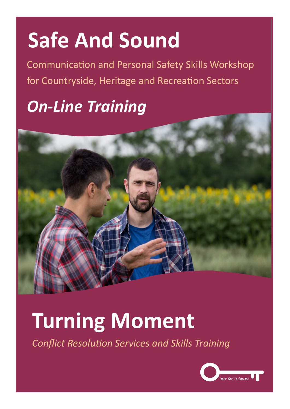# **Safe And Sound**

Communication and Personal Safety Skills Workshop for Countryside, Heritage and Recreation Sectors

## *On-Line Training*



## **Turning Moment**

*Conflict Resolution Services and Skills Training*